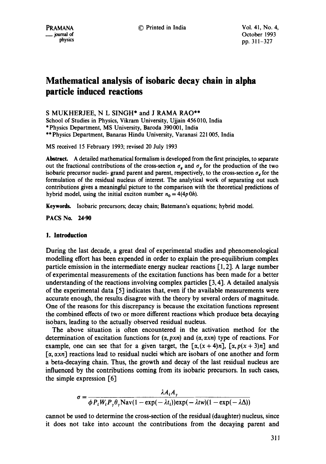© Printed in India Voi. 41, No. 4,

# **Mathematical analysis of isobaric decay chain in alpha particle induced reactions**

S MUKHERJEE, N L SINGH\* and J RAMA RAO\*\*

School of Studies in Physics, Vikram University, Ujjain 456010, India \*Physics Department, MS University, Baroda 390001, India \*\*Physics Department, Banaras Hindu University, Varanasi 221005, India

MS received 15 February 1993; revised 20 July 1993

**Abstract.** A detailed mathematical formalism is developed from the first principles, to separate out the fractional contributions of the cross-section  $\sigma_a$  and  $\sigma_b$  for the production of the two isobaric precursor nuclei- grand parent and parent, respectively, to the cross-section  $\sigma_d$  for the formulation of the residual nucleus of interest. The analytical work of separating out such contributions gives a meaningful picture to the comparison with the theoretical predictions of hybrid model, using the initial exciton number  $n_0 = 4(4p\,0h)$ .

Keywords. Isobaric precursors; decay chain; Batemann's equations; hybrid model.

**PACS No. 24.90** 

### **1. Introduction**

During the last decade, a great deal of experimental studies and phenomenological modelling effort has been expended in order to explain the pre-equilibrium complex particle emission in the intermediate energy nuclear reactions [1, 2]. A large number of experimental measurements of the excitation functions has been made for a better understanding of the reactions involving complex particles [3, 4]. A detailed analysis of the experimental data [5] indicates that, even if the available measurements were accurate enough, the results disagree with the theory by several orders of magnitude. One of the reasons for this discrepancy is because the excitation functions represent the combined effects of two or more different reactions which produce beta decaying isobars, leading to the actually observed residual nucleus.

The above situation is often encountered in the activation method for the determination of excitation functions for  $(\alpha, pxn)$  and  $(\alpha, \alpha xn)$  type of reactions. For example, one can see that for a given target, the  $[\alpha, (x + 4)n]$ ,  $[\alpha, p(x + 3)n]$  and [a, axn] reactions lead to residual nuclei which are isobars of one another and form a beta-decaying chain. Thus, the growth and decay of the last residual nucleus are influenced by the contributions coming from its isobaric precursors. In such cases, the simple expression [6]

$$
\sigma = \frac{\lambda A_i A_y}{\phi P_i W_i P_y \theta_y \text{Nav}(1 - \exp(-\lambda t_i)) \exp(-\lambda t w)(1 - \exp(-\lambda \Delta))}
$$

cannot be used to determine the cross-section of the residual (daughter) nucleus, since it does not take into account the contributions from the decaying parent and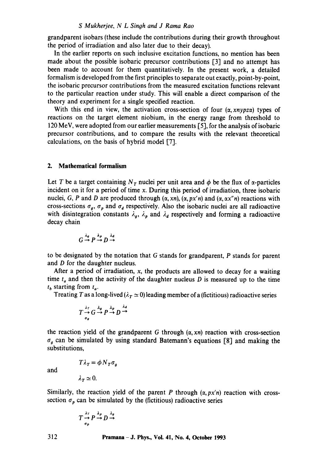#### *S Mukherjee, N L Singh and J Rama Rao*

grandparent isobars (these include the contributions during their growth throughout the period of irradiation and also later due to their decay).

In the earlier reports on such inclusive excitation functions, no mention has been made about the possible isobaric precursor contributions  $\lceil 3 \rceil$  and no attempt has been made to account for them quantitatively. In the present work, a detailed formalism is developed from the first principles to separate out exactly, point-by-point, the isobaric precursor contributions from the measured excitation functions relevant to the particular reaction under study. This will enable a direct comparison of the theory and experiment for a single specified reaction.

With this end in view, the activation cross-section of four  $(\alpha, xnypza)$  types of reactions on the target element niobium, in the energy range from threshold to 120 MeV, were adopted from our earlier measurements  $[5]$ , for the analysis of isobaric precursor contributions, and to compare the results with the relevant theoretical calculations, on the basis of hybrid model [7].

#### **2. Mathematical formalism**

Let T be a target containing  $N_T$  nuclei per unit area and  $\phi$  be the flux of  $\alpha$ -particles incident on it for a period of time x. During this period of irradiation, three isobaric nuclei, G, P and D are produced through  $(\alpha, xn)$ ,  $(\alpha, px'n)$  and  $(\alpha, \alpha x''n)$  reactions with cross-sections  $\sigma_q$ ,  $\sigma_p$  and  $\sigma_d$  respectively. Also the isobaric nuclei are all radioactive with disintegration constants  $\lambda_g$ ,  $\lambda_p$  and  $\lambda_d$  respectively and forming a radioactive decay chain

$$
G \xrightarrow{\lambda_g} P \xrightarrow{\lambda_p} D \xrightarrow{\lambda_d}
$$

to be designated by the notation that G stands for grandparent, P stands for parent and D for the daughter nucleus.

After a period of irradiation,  $x$ , the products are allowed to decay for a waiting time  $t_a$  and then the activity of the daughter nucleus D is measured up to the time  $t<sub>b</sub>$  starting from  $t<sub>a</sub>$ .

Treating T as a long-lived ( $\lambda_T \simeq 0$ ) leading member of a (fictitious) radioactive series

$$
T \xrightarrow[\sigma_g]{\lambda_T} G \xrightarrow{\lambda_g} P \xrightarrow{\lambda_p} D \xrightarrow{\lambda_d}
$$

the reaction yield of the grandparent G through  $(\alpha, xn)$  reaction with cross-section  $\sigma<sub>g</sub>$  can be simulated by using standard Batemann's equations [8] and making the substitutions,

and

$$
\lambda_T \simeq 0.
$$

 $T\lambda_T = \phi N_T \sigma_a$ 

Similarly, the reaction yield of the parent P through  $(\alpha, px'n)$  reaction with crosssection  $\sigma_p$  can be simulated by the (fictitious) radioactive series

$$
T \xrightarrow{\lambda_T} P \xrightarrow{\lambda_p} D \xrightarrow{\lambda_g} T
$$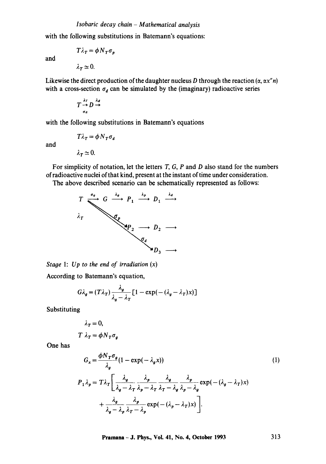with the following substitutions in Batemann's equations:

$$
T\lambda_T = \phi N_T \sigma_p
$$
  

$$
\lambda_T \simeq 0.
$$

Likewise the direct production of the daughter nucleus D through the reaction  $(\alpha, \alpha x^n n)$ with a cross-section  $\sigma_d$  can be simulated by the (imaginary) radioactive series

$$
T \xrightarrow[\sigma_d]{\lambda_T} D \xrightarrow[\sigma_d]{\lambda_d}
$$

with the following substitutions in Batemann's equations

$$
T\lambda_T = \phi N_T \sigma_d
$$

and

and

$$
\lambda_T \simeq 0
$$

For simplicity of notation, let the letters  $T$ ,  $G$ ,  $P$  and  $D$  also stand for the numbers of radioactive nuclei of that kind, present at the instant of time under consideration.

The above described scenario can be schematically represented as follows:



*Stage* 1: *Up to the end of irradiation (x)* 

According to Batemann's equation,

$$
G\lambda_g = (T\lambda_T) \frac{\lambda_g}{\lambda_g - \lambda_T} \left[ 1 - \exp(-(\lambda_g - \lambda_T) x) \right]
$$

Substituting

$$
\lambda_T = 0,
$$
  

$$
T \lambda_T = \phi N_T \sigma_g
$$

One has

$$
G_x = \frac{\phi N_T \sigma_g}{\lambda_g} (1 - \exp(-\lambda_g x))
$$
(1)  

$$
P_1 \lambda_p = T \lambda_T \left[ \frac{\lambda_g}{\lambda_g - \lambda_T} \frac{\lambda_p}{\lambda_p - \lambda_T} \frac{\lambda_g}{\lambda_T - \lambda_g} \frac{\lambda_p}{\lambda_p - \lambda_g} \exp(-(\lambda_g - \lambda_T) x) + \frac{\lambda_g}{\lambda_g - \lambda_p} \frac{\lambda_p}{\lambda_T - \lambda_p} \exp(-(\lambda_p - \lambda_T) x) \right].
$$

**Pramana- J. Phys., Vol. 41, No. 4, October 1993 313**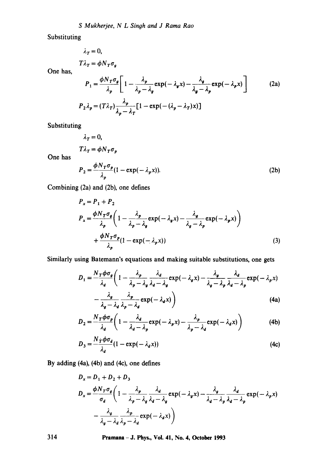Substituting

$$
\lambda_T = 0,
$$
  

$$
T\lambda_T = \phi N_T \sigma_g
$$

One has,

$$
P_1 = \frac{\phi N_T \sigma_g}{\lambda_p} \left[ 1 - \frac{\lambda_p}{\lambda_p - \lambda_g} \exp(-\lambda_g x) - \frac{\lambda_g}{\lambda_g - \lambda_p} \exp(-\lambda_p x) \right]
$$
 (2a)  

$$
P_2 \lambda_p = (T \lambda_T) \frac{\lambda_p}{\lambda_p - \lambda_T} [1 - \exp(-(\lambda_p - \lambda_T) x)]
$$

Substituting

One has

$$
\lambda_T = 0,
$$
  
\n
$$
T\lambda_T = \phi N_T \sigma_p
$$
  
\n
$$
P_2 = \frac{\phi N_T \sigma_p}{\lambda_p} (1 - \exp(-\lambda_p x)).
$$
\n(2b)

Combining (2a) and (2b), one defines

$$
P_x = P_1 + P_2
$$
  
\n
$$
P_x = \frac{\phi N_T \sigma_g}{\lambda_p} \left( 1 - \frac{\lambda_p}{\lambda_p - \lambda_g} \exp(-\lambda_g x) - \frac{\lambda_g}{\lambda_g - \lambda_p} \exp(-\lambda_p x) \right)
$$
  
\n
$$
+ \frac{\phi N_T \sigma_p}{\lambda_p} (1 - \exp(-\lambda_p x))
$$
\n(3)

Similarly using Batemann's equations and making suitable substitutions, one gets

$$
D_1 = \frac{N_T \phi \sigma_g}{\lambda_d} \left( 1 - \frac{\lambda_p}{\lambda_p - \lambda_g} \frac{\lambda_d}{\lambda_d - \lambda_g} \exp(-\lambda_g x) - \frac{\lambda_g}{\lambda_g - \lambda_p} \frac{\lambda_d}{\lambda_d - \lambda_p} \exp(-\lambda_p x) \right)
$$

$$
-\frac{\lambda_g}{\lambda_g - \lambda_d} \frac{\lambda_p}{\lambda_p - \lambda_d} \exp(-\lambda_d x) \tag{4a}
$$

$$
D_2 = \frac{N_T \phi \sigma_p}{\lambda_d} \left( 1 - \frac{\lambda_d}{\lambda_d - \lambda_p} \exp(-\lambda_p x) - \frac{\lambda_p}{\lambda_p - \lambda_d} \exp(-\lambda_d x) \right) \tag{4b}
$$

$$
D_3 = \frac{N_f \phi \sigma_d}{\lambda_d} (1 - \exp(-\lambda_d x))
$$
\n(4c)

By adding (4a), (4b) and (4c), one defines

$$
D_x = D_1 + D_2 + D_3
$$
  
\n
$$
D_x = \frac{\phi N_T \sigma_g}{\sigma_a} \left( 1 - \frac{\lambda_p}{\lambda_p - \lambda_g} \frac{\lambda_d}{\lambda_d - \lambda_g} \exp(-\lambda_g x) - \frac{\lambda_g}{\lambda_d - \lambda_p} \frac{\lambda_d}{\lambda_d - \lambda_p} \exp(-\lambda_p x) - \frac{\lambda_g}{\lambda_g - \lambda_d} \frac{\lambda_p}{\lambda_p - \lambda_d} \exp(-\lambda_d x) \right)
$$

**314 Pramana- J. Phys., Vol. 41, No. 4, October 1993**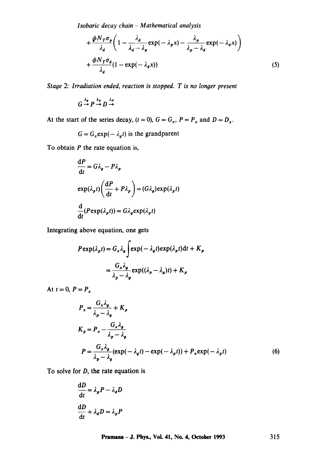*Isobaric decay chain - Mathematical analysis* 

$$
+\frac{\phi N_T \sigma_p}{\lambda_d} \left(1 - \frac{\lambda_d}{\lambda_d - \lambda_p} \exp(-\lambda_p x) - \frac{\lambda_p}{\lambda_p - \lambda_d} \exp(-\lambda_d x)\right) + \frac{\phi N_T \sigma_d}{\lambda_d} (1 - \exp(-\lambda_d x))
$$
\n(5)

*Stage 2: Irradiation ended, reaction is stopped. T is no longer present* 

$$
G \xrightarrow{\lambda_g} P \xrightarrow{\lambda_p} D \xrightarrow{\lambda_d}
$$

At the start of the series decay,  $(t = 0)$ ,  $G = G_x$ ,  $P = P_x$  and  $D = D_x$ .

$$
G = G_x \exp(-\lambda_a t)
$$
 is the grandparent

To obtain  $P$  the rate equation is,

$$
\frac{dP}{dt} = G\lambda_g - P\lambda_p
$$
  
\n
$$
\exp(\lambda_p t) \left(\frac{dP}{dt} + P\lambda_p\right) = (G\lambda_g) \exp(\lambda_p t)
$$
  
\n
$$
\frac{d}{dt} (P \exp(\lambda_p t)) = G\lambda_g \exp(\lambda_p t)
$$

Integrating above equation, one gets

$$
P \exp(\lambda_p t) = G_x \lambda_g \int \exp(-\lambda_g t) \exp(\lambda_p t) dt + K_p
$$

$$
= \frac{G_x \lambda_g}{\lambda_p - \lambda_g} \exp((\lambda_p - \lambda_g)t) + K_p
$$

At  $t=0, P=P_x$ 

$$
P_x = \frac{G_x \lambda_g}{\lambda_p - \lambda_g} + K_p
$$
  
\n
$$
K_p = P_x - \frac{G_x \lambda_g}{\lambda_p - \lambda_g}
$$
  
\n
$$
P = \frac{G_x \lambda_g}{\lambda_p - \lambda_g} (\exp(-\lambda_g t) - \exp(-\lambda_p t)) + P_x \exp(-\lambda_p t)
$$
 (6)

To solve for  $D$ , the rate equation is

$$
\frac{dD}{dt} = \lambda_p P - \lambda_d D
$$

$$
\frac{dD}{dt} + \lambda_d D = \lambda_p P
$$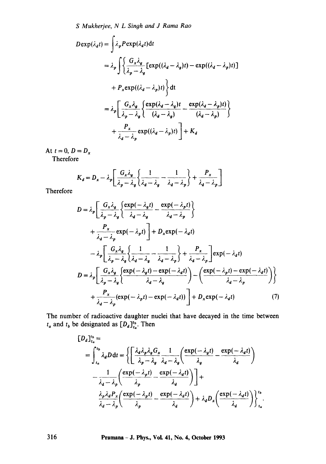*S Mukherjee, N L Sinyh and J Rama Rao* 

$$
D \exp(\lambda_d t) = \int \lambda_p P \exp(\lambda_d t) dt
$$
  
=  $\lambda_p \int \left\{ \frac{G_x \lambda_g}{\lambda_p - \lambda_g} \left[ \exp((\lambda_d - \lambda_g)t) - \exp((\lambda_d - \lambda_p)t) \right] \right\}$   
+  $P_x \exp((\lambda_d - \lambda_p)t) \left\} dt$   
=  $\lambda_p \left[ \frac{G_x \lambda_g}{\lambda_p - \lambda_g} \left\{ \frac{\exp(\lambda_d - \lambda_g)t}{(\lambda_d - \lambda_g)} - \frac{\exp(\lambda_d - \lambda_p)t}{(\lambda_d - \lambda_p)} \right\} \right]$   
+  $\frac{P_x}{\lambda_d - \lambda_p} \exp((\lambda_d - \lambda_p)t) \left] + K_d$ 

At  $t=0, D=D_x$ 

Therefore

$$
K_d = D_x - \lambda_p \left[ \frac{G_x \lambda_g}{\lambda_p - \lambda_g} \left\{ \frac{1}{\lambda_d - \lambda_g} - \frac{1}{\lambda_d - \lambda_p} \right\} + \frac{P_x}{\lambda_d - \lambda_p} \right]
$$

Therefore

$$
D = \lambda_p \left[ \frac{G_x \lambda_g}{\lambda_p - \lambda_g} \left\{ \frac{\exp(-\lambda_g t)}{\lambda_d - \lambda_g} - \frac{\exp(-\lambda_p t)}{\lambda_d - \lambda_p} \right\} \right]
$$
  
+ 
$$
\frac{P_x}{\lambda_d - \lambda_p} \exp(-\lambda_p t) \right] + D_x \exp(-\lambda_d t)
$$
  
- 
$$
\lambda_p \left[ \frac{G_x \lambda_g}{\lambda_p - \lambda_g} \left\{ \frac{1}{\lambda_d - \lambda_g} - \frac{1}{\lambda_d - \lambda_p} \right\} + \frac{P_x}{\lambda_d - \lambda_p} \right] \exp(-\lambda_d t)
$$
  

$$
D = \lambda_p \left[ \frac{G_x \lambda_g}{\lambda_p - \lambda_g} \left\{ \frac{\exp(-\lambda_g t) - \exp(-\lambda_d t)}{\lambda_d - \lambda_g} \right\} - \left( \frac{\exp(-\lambda_p t) - \exp(-\lambda_d t)}{\lambda_d - \lambda_p} \right) \right\}
$$
  
+ 
$$
\frac{P_x}{\lambda_d - \lambda_p} (\exp(-\lambda_p t) - \exp(-\lambda_d t)) \right] + D_x \exp(-\lambda_d t) \qquad (7)
$$

The number of radioactive daughter nuclei that have decayed in the time between  $t_a$  and  $t_b$  be designated as  $[D_a]_L^{t_b}$ . Then

$$
[D_d]_{t_a}^{t_b} =
$$
  
= 
$$
\int_{t_a}^{t_b} \lambda_d D dt = \left\{ \left[ \frac{\lambda_d \lambda_p \lambda_g G_x}{\lambda_p - \lambda_g} \frac{1}{\lambda_d - \lambda_g} \left( \frac{\exp(-\lambda_g t)}{\lambda_g} - \frac{\exp(-\lambda_d t)}{\lambda_d} \right) \right] - \frac{1}{\lambda_d - \lambda_p} \left( \frac{\exp(-\lambda_p t)}{\lambda_p} - \frac{\exp(-\lambda_d t)}{\lambda_d} \right) \right\} +
$$
  

$$
\frac{\lambda_p \lambda_d P_x}{\lambda_d - \lambda_p} \left( \frac{\exp(-\lambda_p t)}{\lambda_p} - \frac{\exp(-\lambda_d t)}{\lambda_d} \right) + \lambda_d D_x \left( \frac{\exp(-\lambda_d t)}{\lambda_d} \right) \right\}^{t_b}_{t_a}.
$$

**316 Pramana- J. Phys., VoL 41, No. 4, October 1993**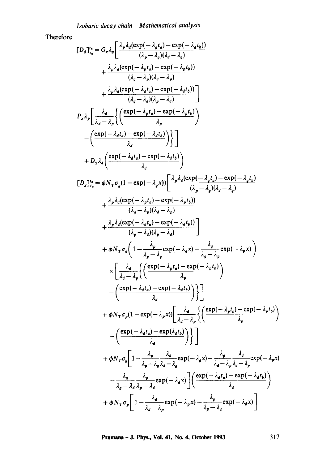Therefore

$$
[D_d]_{t_0}^{t_0} = G_x \lambda_g \left[ \frac{\lambda_p \lambda_d (\exp(-\lambda_q t_a) - \exp(-\lambda_q t_b))}{(\lambda_p - \lambda_g)(\lambda_d - \lambda_g)} + \frac{\lambda_p \lambda_d (\exp(-\lambda_p t_a) - \exp(-\lambda_p t_b))}{(\lambda_q - \lambda_p)(\lambda_q - \lambda_p)} + \frac{\lambda_p \lambda_d (\exp(-\lambda_d t_a) - \exp(-\lambda_d t_b))}{(\lambda_q - \lambda_d)(\lambda_p - \lambda_d)} \right]
$$
  
\n
$$
P_x \lambda_g \left[ \frac{\lambda_d}{\lambda_d - \lambda_g} \left\{ \left( \frac{\exp(-\lambda_d t_a) - \exp(-\lambda_d t_b)}{\lambda_g} \right) \right\} - \left( \frac{\exp(-\lambda_d t_a) - \exp(-\lambda_d t_b)}{\lambda_d} \right) \right\}
$$
  
\n
$$
+ D_x \lambda_d \left( \frac{\exp(-\lambda_d t_a) - \exp(-\lambda_d t_b)}{\lambda_d} \right) \right]
$$
  
\n
$$
[D_d]_{t_0}^{t_0} = \phi N_T \sigma_g (1 - \exp(-\lambda_g x)) \left[ \frac{\lambda_p \lambda_d (\exp(-\lambda_q t_a) - \exp(-\lambda_q t_b)}{(\lambda_p - \lambda_g)(\lambda_d - \lambda_g)} + \frac{\lambda_p \lambda_d (\exp(-\lambda_d t_a) - \exp(-\lambda_p t_b))}{(\lambda_q - \lambda_g)(\lambda_q - \lambda_g)} \right]
$$
  
\n
$$
+ \phi N_T \sigma_g \left( 1 - \frac{\lambda_p}{\lambda_p - \lambda_g} \exp(-\lambda_g x) - \frac{\lambda_g}{\lambda_g - \lambda_p} \exp(-\lambda_p x) \right)
$$
  
\n
$$
\times \left[ \frac{\lambda_d}{\lambda_d - \lambda_p} \left\{ \left( \frac{\exp(-\lambda_p t_a) - \exp(-\lambda_q t_b)}{\lambda_p} \right) \right\} - \left( \frac{\exp(-\lambda_d t_a) - \exp(-\lambda_d t_b)}{\lambda_d} \right) \right\}
$$
  
\n
$$
+ \phi N_T \sigma_g (1 - \exp(-\lambda_p x)) \left[ \frac{\lambda_d}{\lambda_d - \lambda_p} \left\{ \left( \frac{\exp(-\lambda_p t_a) - \exp(-\lambda_p t_b)}{\lambda_p} \right) \right\} - \left( \frac{\exp(-\lambda_d t_a) - \exp(\lambda_d t_b)}{\lambda_d} \right) \right\}
$$

**Pramana- J. Phys., Vol. 41, No. 4, October 1993 317**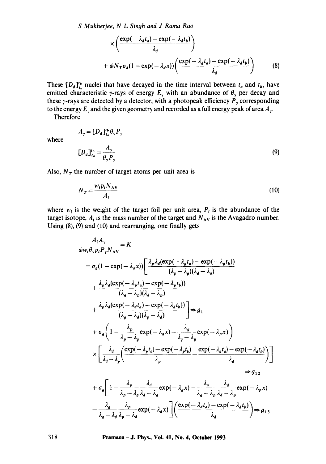*S Mukherjee, N L Singh and J Rama Rao* 

$$
\times \left( \frac{\exp(-\lambda_d t_a) - \exp(-\lambda_d t_b)}{\lambda_d} \right)
$$
  
+  $\phi N_T \sigma_d (1 - \exp(-\lambda_d x)) \left( \frac{\exp(-\lambda_d t_a) - \exp(-\lambda_d t_b)}{\lambda_d} \right)$  (8)

These  $[D_d]_{t_a}^{t_b}$  nuclei that have decayed in the time interval between  $t_a$  and  $t_b$ , have emitted characteristic y-rays of energy  $E<sub>y</sub>$  with an abundance of  $\theta<sub>y</sub>$  per decay and these  $\gamma$ -rays are detected by a detector, with a photopeak efficiency  $P_{\gamma}$  corresponding to the energy  $E_y$  and the given geometry and recorded as a full energy peak of area  $A_y$ .

Therefore

where

$$
A_{\gamma} = [D_d]_{t_a}^{t_b} \theta_{\gamma} P_{\gamma}
$$
  

$$
[D_d]_{t_a}^{t_b} = \frac{A_{\gamma}}{\theta_{\gamma} P_{\gamma}}
$$
 (9)

Also,  $N_T$  the number of target atoms per unit area is

$$
N_T = \frac{w_i p_i N_{AV}}{A_i} \tag{10}
$$

where  $w_i$  is the weight of the target foil per unit area,  $P_i$  is the abundance of the target isotope,  $A_i$  is the mass number of the target and  $N_{AV}$  is the Avagadro number. Using (8), (9) and (10) and rearranging, one finally gets

$$
\frac{A_i A_y}{\phi w_i \theta_y p_i P_y N_{AV}} = K
$$
\n
$$
= \sigma_g (1 - \exp(-\lambda_g x)) \left[ \frac{\lambda_p \lambda_d (\exp(-\lambda_g t_a) - \exp(-\lambda_g t_b))}{(\lambda_p - \lambda_g)(\lambda_d - \lambda_g)} + \frac{\lambda_p \lambda_d (\exp(-\lambda_p t_a) - \exp(-\lambda_p t_b))}{(\lambda_g - \lambda_p)(\lambda_d - \lambda_p)} \right]
$$
\n
$$
+ \frac{\lambda_p \lambda_d (\exp(-\lambda_d t_a) - \exp(-\lambda_d t_b))}{(\lambda_g - \lambda_d)(\lambda_p - \lambda_d)} \right] \Rightarrow g_1
$$
\n
$$
+ \sigma_g \left( 1 - \frac{\lambda_p}{\lambda_p - \lambda_g} \exp(-\lambda_g x) - \frac{\lambda_g}{\lambda_g - \lambda_p} \exp(-\lambda_p x) \right)
$$
\n
$$
\times \left[ \frac{\lambda_d}{\lambda_d - \lambda_p} \left( \frac{\exp(-\lambda_p t_a) - \exp(-\lambda_p t_b)}{\lambda_p} - \frac{\exp(-\lambda_d t_a) - \exp(-\lambda_d t_b)}{\lambda_d} \right) \right] \Rightarrow g_{12}
$$
\n
$$
+ \sigma_g \left[ 1 - \frac{\lambda_p}{\lambda_p - \lambda_g} \frac{\lambda_d}{\lambda_d - \lambda_g} \exp(-\lambda_g x) - \frac{\lambda_g}{\lambda_g - \lambda_p} \frac{\lambda_d}{\lambda_d - \lambda_p} \exp(-\lambda_p x) \right]
$$
\n
$$
- \frac{\lambda_g}{\lambda_g - \lambda_d} \frac{\lambda_p}{\lambda_p - \lambda_d} \exp(-\lambda_d x) \left[ \left( \frac{\exp(-\lambda_d t_a) - \exp(-\lambda_d t_b)}{\lambda_d} \right) \right] \Rightarrow g_{13}
$$

**318 Pramana- J. Phys., Voi. 41, No. 4, October 1993**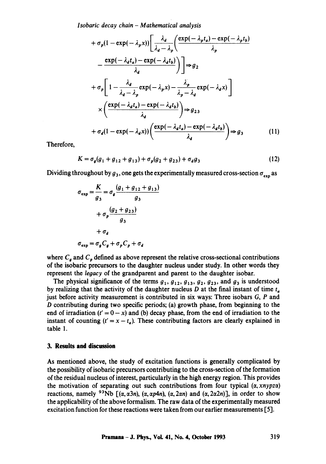*Isobaric decay chain - Mathematical analysis* 

$$
+ \sigma_p (1 - \exp(-\lambda_p x)) \left[ \frac{\lambda_d}{\lambda_d - \lambda_p} \left( \frac{\exp(-\lambda_p t_a) - \exp(-\lambda_p t_b)}{\lambda_p} \right) - \frac{\exp(-\lambda_d t_a) - \exp(-\lambda_d t_b)}{\lambda_d} \right) \right] \Rightarrow g_2
$$
  
+ 
$$
\sigma_p \left[ 1 - \frac{\lambda_d}{\lambda_d - \lambda_p} \exp(-\lambda_p x) - \frac{\lambda_p}{\lambda_p - \lambda_d} \exp(-\lambda_d x) \right]
$$
  

$$
\times \left( \frac{\exp(-\lambda_d t_a) - \exp(-\lambda_d t_b)}{\lambda_d} \right) \Rightarrow g_{23}
$$
  
+ 
$$
\sigma_d (1 - \exp(-\lambda_d x)) \left( \frac{\exp(-\lambda_d t_a) - \exp(-\lambda_d t_b)}{\lambda_d} \right) \Rightarrow g_3
$$
 (11)

Therefore,

$$
K = \sigma_g (g_1 + g_{12} + g_{13}) + \sigma_p (g_2 + g_{23}) + \sigma_d g_3 \tag{12}
$$

Dividing throughout by  $g_3$ , one gets the experimentally measured cross-section  $\sigma_{\text{cm}}$  as

$$
\sigma_{\exp} = \frac{K}{g_3} = \sigma_g \frac{(g_1 + g_{12} + g_{13})}{g_3}
$$

$$
+ \sigma_p \frac{(g_2 + g_{23})}{g_3}
$$

$$
+ \sigma_d
$$

$$
\sigma_{\exp} = \sigma_g C_g + \sigma_p C_p + \sigma_d
$$

where  $C<sub>g</sub>$  and  $C<sub>p</sub>$  defined as above represent the relative cross-sectional contributions of the isobaric precursors to the daughter nucleus under study. In other words they represent the *legacy* of the grandparent and parent to the daughter isobar.

The physical significance of the terms  $g_1, g_1, g_1, g_2, g_2, g_3$ , and  $g_3$  is understood by realizing that the activity of the daughter nucleus  $D$  at the final instant of time  $t_a$ just before activity measurement is contributed in six ways: Three isobars G, P and D contributing during two specific periods; (a) growth phase, from beginning to the end of irradiation  $(t' = 0 - x)$  and (b) decay phase, from the end of irradiation to the instant of counting  $(t' = x - t_a)$ . These contributing factors are clearly explained in table 1.

## **3. Results and discussion**

As mentioned above, the study of excitation functions is generally complicated by the possibility of isobaric precursors contributing to the cross-section of the formation of the residual nucleus of interest, particularly in the high energy region. This provides the motivation of separating out such contributions from four typical  $(\alpha, xnypz\alpha)$ reactions, namely <sup>93</sup>Nb  $[(\alpha, \alpha 3n), (\alpha, \alpha p 4n), (\alpha, 2\alpha n)$  and  $(\alpha, 2\alpha 2n)]$ , in order to show the applicability of the above formalism. The raw data of the experimentally measured excitation function for these reactions were taken from our earlier measurements [5].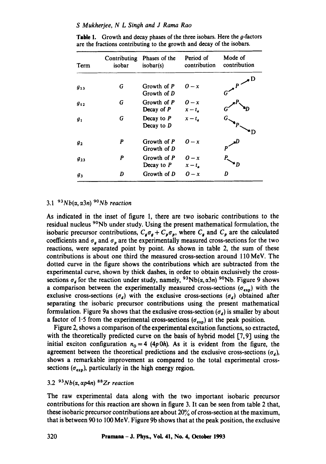#### *S Mukherjee, N L Singh and J Rama Rao*

| Term           | Contributing<br>isobar | Phases of the<br>isobar(s)   | Period of<br>contribution | Mode of<br>contribution   |
|----------------|------------------------|------------------------------|---------------------------|---------------------------|
| $g_{13}$       | G                      | Growth of P<br>Growth of D   | $0 - x$                   | $\bullet$<br>$P^{\prime}$ |
| $g_{12}$       | G                      | Growth of P<br>Decay of P    | $0 - x$<br>$x-t_a$        |                           |
| g <sub>1</sub> | G                      | Decay to $P$<br>Decay to $D$ | $x-t_a$                   |                           |
| $g_{2}$        | P                      | Growth of P<br>Growth of D   | $0 - x$                   |                           |
| $g_{23}$       | P                      | Growth of P<br>Decay to $P$  | $0 - x$<br>$x-t_a$        |                           |
| gз             | D                      | Growth of D                  | $0 - x$                   | D                         |

**Table 1.** Growth and decay phases of the three isobars. Here the  $g$ -factors are the fractions contributing to the growth and decay of the isobars.

# $3.1$ <sup>93</sup>Nb( $\alpha$ ,  $\alpha$ 3n) <sup>90</sup>Nb reaction

As indicated in the inset of figure 1, there are two isobaric contributions to the residual nucleus <sup>90</sup>Nb under study. Using the present mathematical formulation, the isobaric precursor contributions,  $C_g \sigma_g + C_p \sigma_p$ , where  $C_g$  and  $C_p$  are the calculated coefficients and  $\sigma_a$  and  $\sigma_p$  are the experimentally measured cross-sections for the two reactions, were separated point by point. As shown in table 2, the sum of these contributions is about one third the measured cross-section around 110 MeV. The dotted curve in the figure shows the contributions which are subtracted from the experimental curve, shown by thick dashes, in order to obtain exclusively the crosssections  $\sigma_d$  for the reaction under study, namely, <sup>93</sup>Nb( $\alpha$ ,  $\alpha$ 3n) <sup>90</sup>Nb. Figure 9 shows a comparison between the experimentally measured cross-sections ( $\sigma_{exp}$ ) with the exclusive cross-sections  $(\sigma_d)$  with the exclusive cross-sections  $(\sigma_d)$  obtained after separating the isobaric precursor contributions using the present mathematical formulation. Figure 9a shows that the exclusive cross-section  $(\sigma_d)$  is smaller by about a factor of 1.5 from the experimental cross-sections ( $\sigma_{\text{exp}}$ ) at the peak position.

Figure 2, shows a comparison of the experimental excitation functions, so extracted, with the theoretically predicted curve on the basis of hybrid model [7,9] using the initial exciton configuration  $n_0 = 4$  (4p0h). As it is evident from the figure, the agreement between the theoretical predictions and the exclusive cross-sections  $(\sigma_d)$ , shows a remarkable improvement as compared to the total experimental crosssections ( $\sigma_{\text{exp}}$ ), particularly in the high energy region.

# $3.2 \frac{93}{N}$  $Nb(\alpha,\alpha p4n)$  <sup>88</sup>Zr reaction

The raw experimental data along with the two important isobaric precursor contributions for this reaction are shown in figure 3. It can be seen from table 2 that, these isobaric precursor contributions are about 20% of cross-section at the maximum, that is between 90 to 100 MeV. Figure 9b shows that at the peak position, the exclusive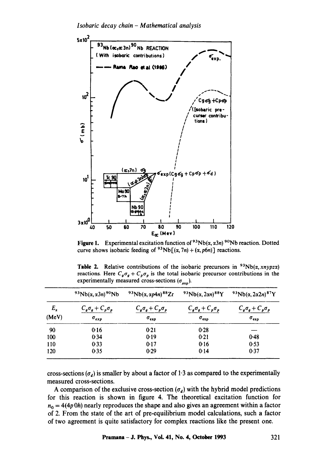

**Figure 1.** Experimental excitation function of  $93Nb(\alpha, \alpha 3n)$   $90Nb$  reaction. Dotted curve shows isobaric feeding of  $93Nb[(\alpha, 7n)+(\alpha, p6n)]$  reactions.

|              | $93Nb(\alpha, \alpha 3n)90Nb$ | $93Nb(\alpha, \alpha p4n)^{88}Zr$ | $93Nb(\alpha,2\alpha n)^{88}Y$ | $93Nb(\alpha, 2\alpha 2n)$ <sup>87</sup> Y |  |  |
|--------------|-------------------------------|-----------------------------------|--------------------------------|--------------------------------------------|--|--|
| $E_{\alpha}$ | $C_g \sigma_g + C_p \sigma_p$ | $C_g \sigma_g + C_p \sigma_p$     | $C_g \sigma_g + C_p \sigma_p$  | $C_g \sigma_g + C_p \sigma_p$              |  |  |
| (MeV)        | $\sigma_{exp}$                | $\sigma_{\rm exp}$                | $\sigma_{\text{exp}}$          | $\sigma_{\texttt{exp}}$                    |  |  |
| 90           | 0.16                          | 0.21                              | 0.28                           |                                            |  |  |
| 100          | 0.34                          | 0.19                              | 0.21                           | 0.48                                       |  |  |
| 110          | 0.33                          | 0.17                              | 0.16                           | 0.53                                       |  |  |
| 120          | 0.35                          | 0.29                              | 0.14                           | 0.37                                       |  |  |

**Table 2.** Relative contributions of the isobaric precursors in  $93Nb(\alpha, xnypzx)$ reactions. Here  $C_g \sigma_g + C_p \sigma_p$  is the total isobaric precursor contributions in the experimentally measured cross-sections  $(\sigma_{\text{avn}})$ .

cross-sections ( $\sigma_d$ ) is smaller by about a factor of 1.3 as compared to the experimentally measured cross-sections.

A comparison of the exclusive cross-section  $(\sigma_d)$  with the hybrid model predictions for this reaction is shown in figure 4. The theoretical excitation function for  $n_0 = 4(4p 0h)$  nearly reproduces the shape and also gives an agreement within a factor of 2. From the state of the art of pre-equilibrium model calculations, such a factor of two agreement is quite satisfactory for complex reactions like the present one.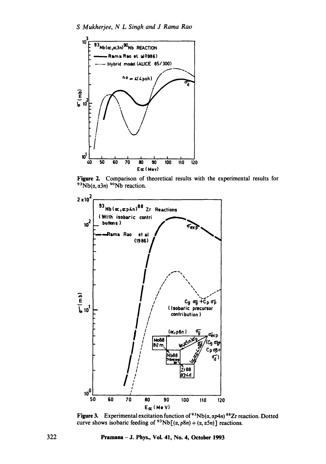

Figure 2. Comparison of theoretical results with the experimental results for  $93Nb(\alpha, \alpha 3n)$  90Nb reaction.



Figure 3. Experimental excitation function of  $93Nb(\alpha, \alpha p4n)$   $88Zr$  reaction. Dotted curve shows isobaric feeding of <sup>93</sup>Nb[( $\alpha$ ,  $p8n$ ) + ( $\alpha$ ,  $\alpha$ 5n)] reactions.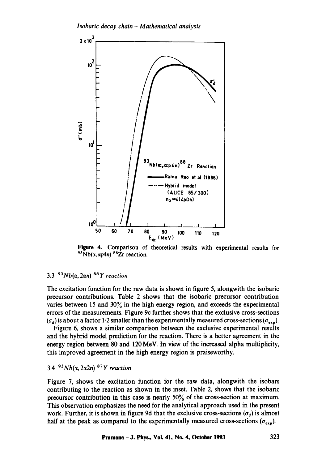

Figure 4. Comparison of theoretical results with experimental results for  $93Nb(\alpha, \alpha p4n)$   $88Zr$  reaction.

# $3.3^{93}Nb(\alpha,2\alpha n)^{88}Y$  reaction

The excitation function for the raw data is shown in figure 5, alongwith the isobaric precursor contributions. Table 2 shows that the isobaric precursor contribution varies between 15 and 30% in the high energy region, and exceeds the experimental errors of the measurements. Figure 9c further shows that the exclusive cross-sections  $(\sigma_d)$  is about a factor 1.2 smaller than the experimentally measured cross-sections ( $\sigma_{\text{exp}}$ ).

Figure 6, shows a similar comparison between the exclusive experimental results and the hybrid model prediction for the reaction. There is a better agreement in the energy region between 80 and 120 MeV. In view of the increased alpha multiplicity, this improved agreement in the high energy region is praiseworthy.

# 3.4  $93Nb(\alpha,2\alpha2n)$  <sup>87</sup>*Y reaction*

Figure 7, shows the excitation function for the raw data, alongwith the isobars contributing to the reaction as shown in the inset. Table 2, shows that the isobaric precursor contribution in this case is nearly 50% of the cross-section at maximum. This observation emphasizes the need for the analytical approach used in the present work. Further, it is shown in figure 9d that the exclusive cross-sections  $(\sigma_d)$  is almost half at the peak as compared to the experimentally measured cross-sections ( $\sigma_{\text{exp}}$ ).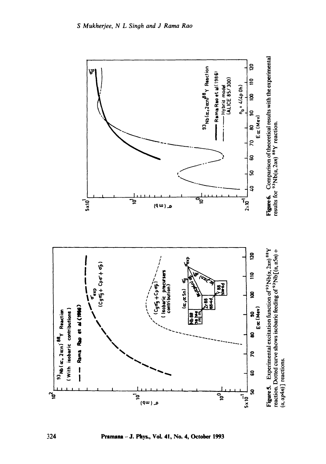

Pramana - J. Phys., Vol. 41, No. 4, October 1993

324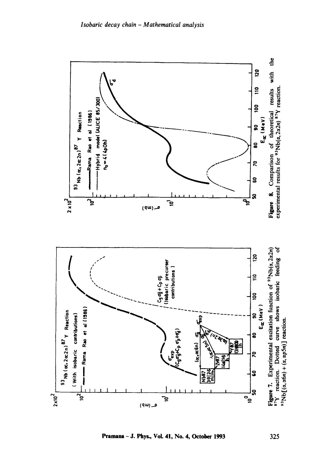



ទូ

ິສ י"<br>ק

**7 |** 

₽

م (۹۳)

**Nb87** 

진도<br>있다

 $2 \times 10^{-2}$ 

 $\tilde{e}$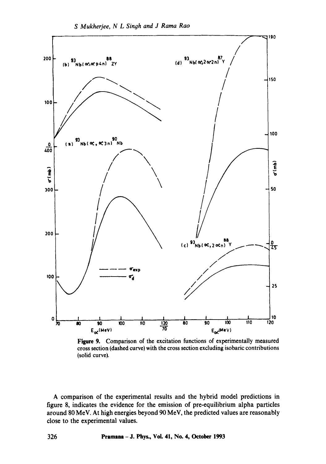

Figure 9. Comparison of the excitation functions of experimentally measured cross section (dashed curve) with the cross section excluding isobaric contributions (solid curve).

A comparison of the experimental results and the hybrid model predictions in figure 8, indicates the evidence for the emission of pre-equilibrium alpha particles around 80 MeV. At high energies beyond 90 MeV, the predicted values are reasonably close to the experimental values.

326 Pramana - J. Phys., VoL 41, No. 4, October 1993